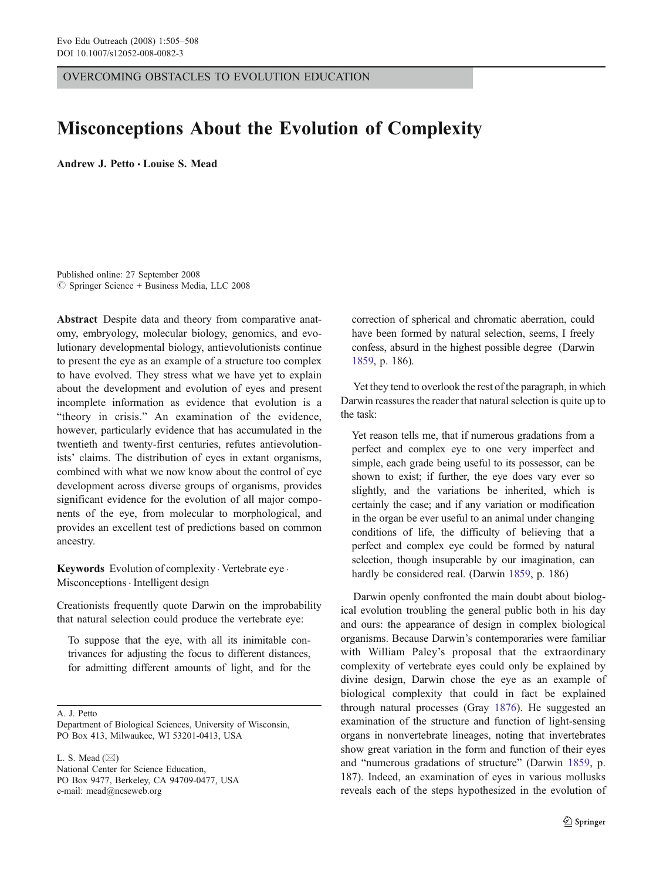OVERCOMING OBSTACLES TO EVOLUTION EDUCATION

# Misconceptions About the Evolution of Complexity

Andrew J. Petto *&* Louise S. Mead

Published online: 27 September 2008  $\circ$  Springer Science + Business Media, LLC 2008

Abstract Despite data and theory from comparative anatomy, embryology, molecular biology, genomics, and evolutionary developmental biology, antievolutionists continue to present the eye as an example of a structure too complex to have evolved. They stress what we have yet to explain about the development and evolution of eyes and present incomplete information as evidence that evolution is a "theory in crisis." An examination of the evidence, however, particularly evidence that has accumulated in the twentieth and twenty-first centuries, refutes antievolutionists' claims. The distribution of eyes in extant organisms, combined with what we now know about the control of eye development across diverse groups of organisms, provides significant evidence for the evolution of all major components of the eye, from molecular to morphological, and provides an excellent test of predictions based on common ancestry.

Keywords Evolution of complexity · Vertebrate eye · Misconceptions. Intelligent design

Creationists frequently quote Darwin on the improbability that natural selection could produce the vertebrate eye:

To suppose that the eye, with all its inimitable contrivances for adjusting the focus to different distances, for admitting different amounts of light, and for the

A. J. Petto

L. S. Mead (⊠) National Center for Science Education, PO Box 9477, Berkeley, CA 94709-0477, USA e-mail: mead@ncseweb.org

correction of spherical and chromatic aberration, could have been formed by natural selection, seems, I freely confess, absurd in the highest possible degree (Darwin [1859,](#page-3-0) p. 186).

Yet they tend to overlook the rest of the paragraph, in which Darwin reassures the reader that natural selection is quite up to the task:

Yet reason tells me, that if numerous gradations from a perfect and complex eye to one very imperfect and simple, each grade being useful to its possessor, can be shown to exist; if further, the eye does vary ever so slightly, and the variations be inherited, which is certainly the case; and if any variation or modification in the organ be ever useful to an animal under changing conditions of life, the difficulty of believing that a perfect and complex eye could be formed by natural selection, though insuperable by our imagination, can hardly be considered real. (Darwin [1859,](#page-3-0) p. 186)

Darwin openly confronted the main doubt about biological evolution troubling the general public both in his day and ours: the appearance of design in complex biological organisms. Because Darwin's contemporaries were familiar with William Paley's proposal that the extraordinary complexity of vertebrate eyes could only be explained by divine design, Darwin chose the eye as an example of biological complexity that could in fact be explained through natural processes (Gray [1876](#page-3-0)). He suggested an examination of the structure and function of light-sensing organs in nonvertebrate lineages, noting that invertebrates show great variation in the form and function of their eyes and "numerous gradations of structure" (Darwin [1859](#page-3-0), p. 187). Indeed, an examination of eyes in various mollusks reveals each of the steps hypothesized in the evolution of

Department of Biological Sciences, University of Wisconsin, PO Box 413, Milwaukee, WI 53201-0413, USA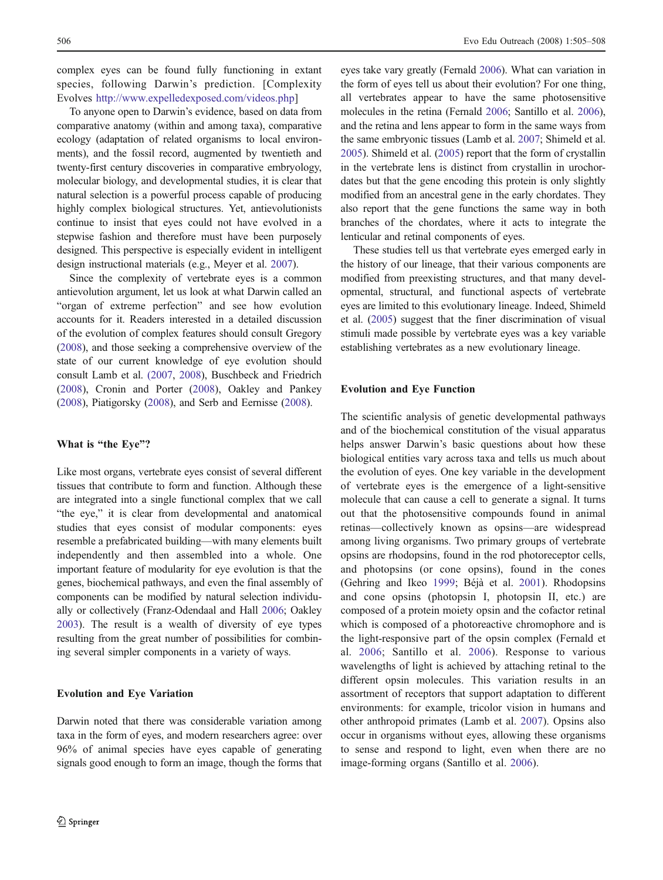complex eyes can be found fully functioning in extant species, following Darwin's prediction. [Complexity Evolves [http://www.expelledexposed.com/videos.php\]](http://www.expelledexposed.com/videos.php)

To anyone open to Darwin's evidence, based on data from comparative anatomy (within and among taxa), comparative ecology (adaptation of related organisms to local environments), and the fossil record, augmented by twentieth and twenty-first century discoveries in comparative embryology, molecular biology, and developmental studies, it is clear that natural selection is a powerful process capable of producing highly complex biological structures. Yet, antievolutionists continue to insist that eyes could not have evolved in a stepwise fashion and therefore must have been purposely designed. This perspective is especially evident in intelligent design instructional materials (e.g., Meyer et al. [2007\)](#page-3-0).

Since the complexity of vertebrate eyes is a common antievolution argument, let us look at what Darwin called an "organ of extreme perfection" and see how evolution accounts for it. Readers interested in a detailed discussion of the evolution of complex features should consult Gregory [\(2008\)](#page-3-0), and those seeking a comprehensive overview of the state of our current knowledge of eye evolution should consult Lamb et al. [\(2007](#page-3-0), [2008\)](#page-3-0), Buschbeck and Friedrich [\(2008](#page-2-0)), Cronin and Porter [\(2008](#page-2-0)), Oakley and Pankey [\(2008\)](#page-3-0), Piatigorsky ([2008](#page-3-0)), and Serb and Eernisse ([2008](#page-3-0)).

## What is "the Eye"?

Like most organs, vertebrate eyes consist of several different tissues that contribute to form and function. Although these are integrated into a single functional complex that we call "the eye," it is clear from developmental and anatomical studies that eyes consist of modular components: eyes resemble a prefabricated building—with many elements built independently and then assembled into a whole. One important feature of modularity for eye evolution is that the genes, biochemical pathways, and even the final assembly of components can be modified by natural selection individually or collectively (Franz-Odendaal and Hall [2006;](#page-3-0) Oakley [2003\)](#page-3-0). The result is a wealth of diversity of eye types resulting from the great number of possibilities for combining several simpler components in a variety of ways.

### Evolution and Eye Variation

Darwin noted that there was considerable variation among taxa in the form of eyes, and modern researchers agree: over 96% of animal species have eyes capable of generating signals good enough to form an image, though the forms that eyes take vary greatly (Fernald [2006](#page-3-0)). What can variation in the form of eyes tell us about their evolution? For one thing, all vertebrates appear to have the same photosensitive molecules in the retina (Fernald [2006](#page-3-0); Santillo et al. [2006\)](#page-3-0), and the retina and lens appear to form in the same ways from the same embryonic tissues (Lamb et al. [2007](#page-3-0); Shimeld et al. [2005\)](#page-3-0). Shimeld et al. ([2005](#page-3-0)) report that the form of crystallin in the vertebrate lens is distinct from crystallin in urochordates but that the gene encoding this protein is only slightly modified from an ancestral gene in the early chordates. They also report that the gene functions the same way in both branches of the chordates, where it acts to integrate the lenticular and retinal components of eyes.

These studies tell us that vertebrate eyes emerged early in the history of our lineage, that their various components are modified from preexisting structures, and that many developmental, structural, and functional aspects of vertebrate eyes are limited to this evolutionary lineage. Indeed, Shimeld et al. [\(2005](#page-3-0)) suggest that the finer discrimination of visual stimuli made possible by vertebrate eyes was a key variable establishing vertebrates as a new evolutionary lineage.

#### Evolution and Eye Function

The scientific analysis of genetic developmental pathways and of the biochemical constitution of the visual apparatus helps answer Darwin's basic questions about how these biological entities vary across taxa and tells us much about the evolution of eyes. One key variable in the development of vertebrate eyes is the emergence of a light-sensitive molecule that can cause a cell to generate a signal. It turns out that the photosensitive compounds found in animal retinas—collectively known as opsins—are widespread among living organisms. Two primary groups of vertebrate opsins are rhodopsins, found in the rod photoreceptor cells, and photopsins (or cone opsins), found in the cones (Gehring and Ikeo [1999;](#page-3-0) Béjà et al. [2001\)](#page-2-0). Rhodopsins and cone opsins (photopsin I, photopsin II, etc.) are composed of a protein moiety opsin and the cofactor retinal which is composed of a photoreactive chromophore and is the light-responsive part of the opsin complex (Fernald et al. [2006](#page-3-0); Santillo et al. [2006\)](#page-3-0). Response to various wavelengths of light is achieved by attaching retinal to the different opsin molecules. This variation results in an assortment of receptors that support adaptation to different environments: for example, tricolor vision in humans and other anthropoid primates (Lamb et al. [2007\)](#page-3-0). Opsins also occur in organisms without eyes, allowing these organisms to sense and respond to light, even when there are no image-forming organs (Santillo et al. [2006\)](#page-3-0).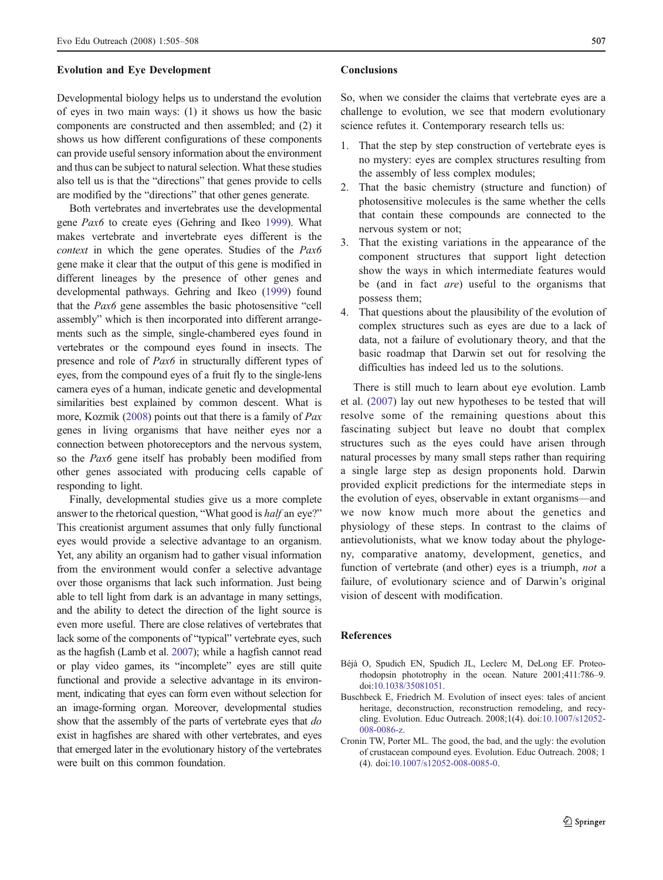#### <span id="page-2-0"></span>Evolution and Eye Development

Developmental biology helps us to understand the evolution of eyes in two main ways: (1) it shows us how the basic components are constructed and then assembled; and (2) it shows us how different configurations of these components can provide useful sensory information about the environment and thus can be subject to natural selection. What these studies also tell us is that the "directions" that genes provide to cells are modified by the "directions" that other genes generate.

Both vertebrates and invertebrates use the developmental gene Pax6 to create eyes (Gehring and Ikeo [1999\)](#page-3-0). What makes vertebrate and invertebrate eyes different is the context in which the gene operates. Studies of the Pax6 gene make it clear that the output of this gene is modified in different lineages by the presence of other genes and developmental pathways. Gehring and Ikeo ([1999](#page-3-0)) found that the Pax6 gene assembles the basic photosensitive "cell assembly" which is then incorporated into different arrangements such as the simple, single-chambered eyes found in vertebrates or the compound eyes found in insects. The presence and role of Pax6 in structurally different types of eyes, from the compound eyes of a fruit fly to the single-lens camera eyes of a human, indicate genetic and developmental similarities best explained by common descent. What is more, Kozmik [\(2008\)](#page-3-0) points out that there is a family of Pax genes in living organisms that have neither eyes nor a connection between photoreceptors and the nervous system, so the Pax6 gene itself has probably been modified from other genes associated with producing cells capable of responding to light.

Finally, developmental studies give us a more complete answer to the rhetorical question, "What good is half an eye?" This creationist argument assumes that only fully functional eyes would provide a selective advantage to an organism. Yet, any ability an organism had to gather visual information from the environment would confer a selective advantage over those organisms that lack such information. Just being able to tell light from dark is an advantage in many settings, and the ability to detect the direction of the light source is even more useful. There are close relatives of vertebrates that lack some of the components of "typical" vertebrate eyes, such as the hagfish (Lamb et al. [2007](#page-3-0)); while a hagfish cannot read or play video games, its "incomplete" eyes are still quite functional and provide a selective advantage in its environment, indicating that eyes can form even without selection for an image-forming organ. Moreover, developmental studies show that the assembly of the parts of vertebrate eyes that do exist in hagfishes are shared with other vertebrates, and eyes that emerged later in the evolutionary history of the vertebrates were built on this common foundation.

#### Conclusions

So, when we consider the claims that vertebrate eyes are a challenge to evolution, we see that modern evolutionary science refutes it. Contemporary research tells us:

- 1. That the step by step construction of vertebrate eyes is no mystery: eyes are complex structures resulting from the assembly of less complex modules;
- 2. That the basic chemistry (structure and function) of photosensitive molecules is the same whether the cells that contain these compounds are connected to the nervous system or not;
- 3. That the existing variations in the appearance of the component structures that support light detection show the ways in which intermediate features would be (and in fact *are*) useful to the organisms that possess them;
- 4. That questions about the plausibility of the evolution of complex structures such as eyes are due to a lack of data, not a failure of evolutionary theory, and that the basic roadmap that Darwin set out for resolving the difficulties has indeed led us to the solutions.

There is still much to learn about eye evolution. Lamb et al. [\(2007](#page-3-0)) lay out new hypotheses to be tested that will resolve some of the remaining questions about this fascinating subject but leave no doubt that complex structures such as the eyes could have arisen through natural processes by many small steps rather than requiring a single large step as design proponents hold. Darwin provided explicit predictions for the intermediate steps in the evolution of eyes, observable in extant organisms—and we now know much more about the genetics and physiology of these steps. In contrast to the claims of antievolutionists, what we know today about the phylogeny, comparative anatomy, development, genetics, and function of vertebrate (and other) eyes is a triumph, not a failure, of evolutionary science and of Darwin's original vision of descent with modification.

### References

- Béjà O, Spudich EN, Spudich JL, Leclerc M, DeLong EF. Proteorhodopsin phototrophy in the ocean. Nature 2001;411:786–9. doi:[10.1038/35081051.](http://dx.doi.org/10.1038/35081051)
- Buschbeck E, Friedrich M. Evolution of insect eyes: tales of ancient heritage, deconstruction, reconstruction remodeling, and recycling. Evolution. Educ Outreach. 2008;1(4). doi[:10.1007/s12052-](http://dx.doi.org/10.1007/s12052-008-0086-z) [008-0086-z.](http://dx.doi.org/10.1007/s12052-008-0086-z)
- Cronin TW, Porter ML. The good, the bad, and the ugly: the evolution of crustacean compound eyes. Evolution. Educ Outreach. 2008; 1 (4). doi:[10.1007/s12052-008-0085-0](http://dx.doi.org/10.1007/s12052-008-0085-0).